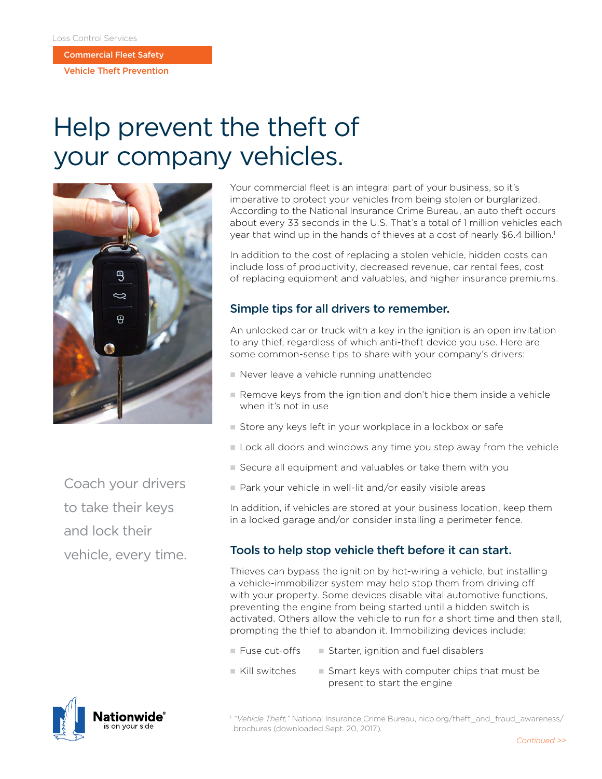Commercial Fleet Safety

Vehicle Theft Prevention

# Help prevent the theft of your company vehicles.



Your commercial fleet is an integral part of your business, so it's imperative to protect your vehicles from being stolen or burglarized. According to the National Insurance Crime Bureau, an auto theft occurs about every 33 seconds in the U.S. That's a total of 1 million vehicles each year that wind up in the hands of thieves at a cost of nearly \$6.4 billion.<sup>1</sup>

In addition to the cost of replacing a stolen vehicle, hidden costs can include loss of productivity, decreased revenue, car rental fees, cost of replacing equipment and valuables, and higher insurance premiums.

### Simple tips for all drivers to remember.

An unlocked car or truck with a key in the ignition is an open invitation to any thief, regardless of which anti-theft device you use. Here are some common-sense tips to share with your company's drivers:

- Never leave a vehicle running unattended
- $\blacksquare$  Remove keys from the ignition and don't hide them inside a vehicle when it's not in use
- Store any keys left in your workplace in a lockbox or safe
- **Lock all doors and windows any time you step away from the vehicle**
- n Secure all equipment and valuables or take them with you
- Park your vehicle in well-lit and/or easily visible areas

In addition, if vehicles are stored at your business location, keep them in a locked garage and/or consider installing a perimeter fence.

### Tools to help stop vehicle theft before it can start.

Thieves can bypass the ignition by hot-wiring a vehicle, but installing a vehicle-immobilizer system may help stop them from driving off with your property. Some devices disable vital automotive functions, preventing the engine from being started until a hidden switch is activated. Others allow the vehicle to run for a short time and then stall, prompting the thief to abandon it. Immobilizing devices include:

- $\blacksquare$  Fuse cut-offs  $\blacksquare$  Starter, ignition and fuel disablers
- $\blacksquare$  Kill switches  $\blacksquare$  Smart keys with computer chips that must be present to start the engine

<sup>1</sup> "Vehicle Theft," National Insurance Crime Bureau, nicb.org/theft\_and\_fraud\_awareness/ brochures (downloaded Sept. 20, 2017)*.*

Coach your drivers to take their keys and lock their vehicle, every time.